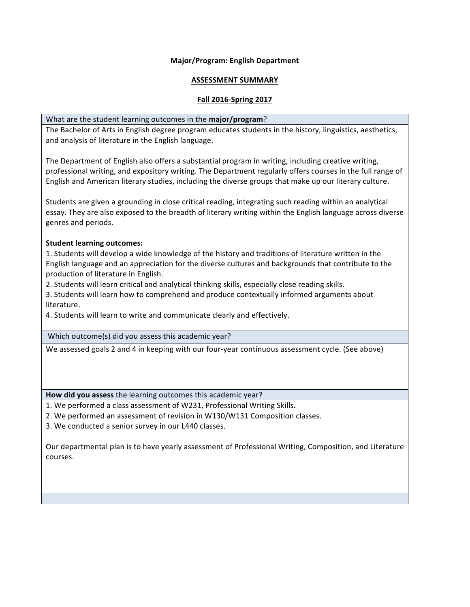# **Major/Program: English Department**

## **ASSESSMENT SUMMARY**

## **Fall 2016-Spring 2017**

#### What are the student learning outcomes in the **major/program**?

 The Bachelor of Arts in English degree program educates students in the history, linguistics, aesthetics, and analysis of literature in the English language.

The Department of English also offers a substantial program in writing, including creative writing, professional writing, and expository writing. The Department regularly offers courses in the full range of English and American literary studies, including the diverse groups that make up our literary culture.

Students are given a grounding in close critical reading, integrating such reading within an analytical essay. They are also exposed to the breadth of literary writing within the English language across diverse genres and periods.

#### **Student learning outcomes:**

1. Students will develop a wide knowledge of the history and traditions of literature written in the English language and an appreciation for the diverse cultures and backgrounds that contribute to the production of literature in English.

2. Students will learn critical and analytical thinking skills, especially close reading skills.

3. Students will learn how to comprehend and produce contextually informed arguments about literature.

4. Students will learn to write and communicate clearly and effectively.

Which outcome(s) did you assess this academic year?

We assessed goals 2 and 4 in keeping with our four-year continuous assessment cycle. (See above)

How did you assess the learning outcomes this academic year?

1. We performed a class assessment of W231, Professional Writing Skills.

2. We performed an assessment of revision in W130/W131 Composition classes.

3. We conducted a senior survey in our L440 classes.

 Our departmental plan is to have yearly assessment of Professional Writing, Composition, and Literature courses.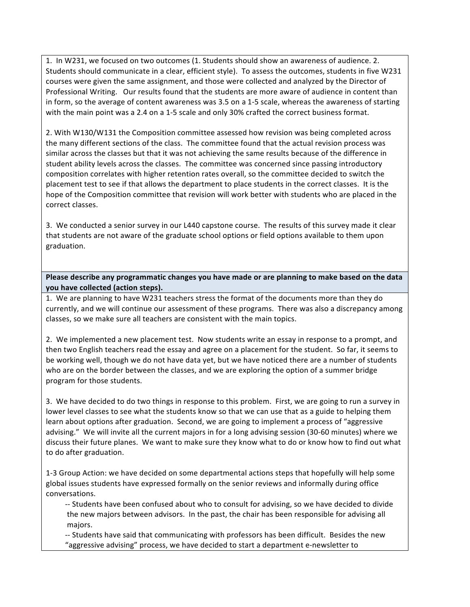1. In W231, we focused on two outcomes (1. Students should show an awareness of audience. 2. Students should communicate in a clear, efficient style). To assess the outcomes, students in five W231 courses were given the same assignment, and those were collected and analyzed by the Director of Professional Writing. Our results found that the students are more aware of audience in content than in form, so the average of content awareness was 3.5 on a 1-5 scale, whereas the awareness of starting with the main point was a 2.4 on a 1-5 scale and only 30% crafted the correct business format.

2. With W130/W131 the Composition committee assessed how revision was being completed across the many different sections of the class. The committee found that the actual revision process was similar across the classes but that it was not achieving the same results because of the difference in student ability levels across the classes. The committee was concerned since passing introductory composition correlates with higher retention rates overall, so the committee decided to switch the placement test to see if that allows the department to place students in the correct classes. It is the hope of the Composition committee that revision will work better with students who are placed in the correct classes.

3. We conducted a senior survey in our L440 capstone course. The results of this survey made it clear that students are not aware of the graduate school options or field options available to them upon graduation.

 **Please describe any programmatic changes you have made or are planning to make based on the data you have collected (action steps).**

1. We are planning to have W231 teachers stress the format of the documents more than they do currently, and we will continue our assessment of these programs. There was also a discrepancy among classes, so we make sure all teachers are consistent with the main topics.

2. We implemented a new placement test. Now students write an essay in response to a prompt, and then two English teachers read the essay and agree on a placement for the student. So far, it seems to be working well, though we do not have data yet, but we have noticed there are a number of students who are on the border between the classes, and we are exploring the option of a summer bridge program for those students.

3. We have decided to do two things in response to this problem. First, we are going to run a survey in advising." We will invite all the current majors in for a long advising session (30-60 minutes) where we discuss their future planes. We want to make sure they know what to do or know how to find out what to do after graduation. lower level classes to see what the students know so that we can use that as a guide to helping them learn about options after graduation. Second, we are going to implement a process of "aggressive

1-3 Group Action: we have decided on some departmental actions steps that hopefully will help some global issues students have expressed formally on the senior reviews and informally during office conversations.

-- Students have been confused about who to consult for advising, so we have decided to divide the new majors between advisors. In the past, the chair has been responsible for advising all majors.

-- Students have said that communicating with professors has been difficult. Besides the new "aggressive advising" process, we have decided to start a department e-newsletter to